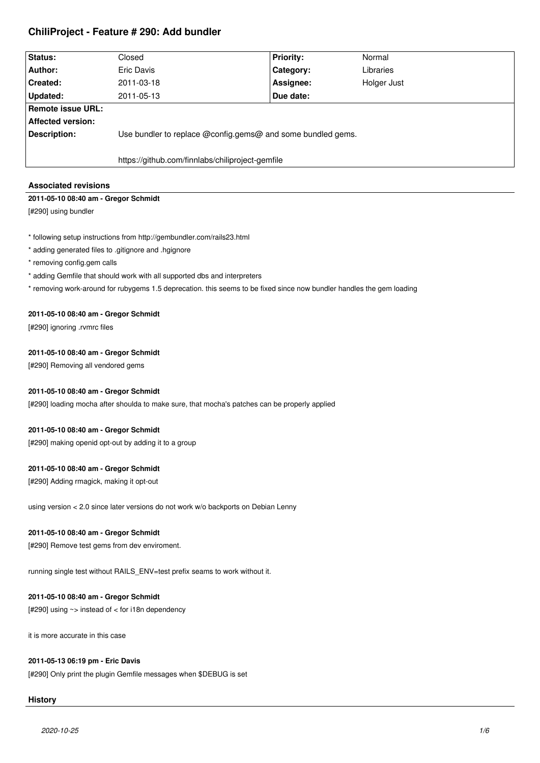# **ChiliProject - Feature # 290: Add bundler**

| Status:           | Closed                                                      | <b>Priority:</b> | Normal      |
|-------------------|-------------------------------------------------------------|------------------|-------------|
| Author:           | Eric Davis                                                  | Category:        | Libraries   |
| Created:          | 2011-03-18                                                  | Assignee:        | Holger Just |
| <b>Updated:</b>   | 2011-05-13                                                  | Due date:        |             |
| Remote issue URL: |                                                             |                  |             |
| Affected version: |                                                             |                  |             |
| Description:      | Use bundler to replace @config.gems@ and some bundled gems. |                  |             |
|                   |                                                             |                  |             |
|                   | https://github.com/finnlabs/chiliproject-gemfile            |                  |             |

# **Associated revisions**

# **2011-05-10 08:40 am - Gregor Schmidt**

[#290] using bundler

- \* following setup instructions from http://gembundler.com/rails23.html
- \* adding generated files to .gitignore and .hgignore
- \* removing config.gem calls
- \* adding Gemfile that should work with all supported dbs and interpreters
- \* removing work-around for rubygems 1.5 deprecation. this seems to be fixed since now bundler handles the gem loading

# **2011-05-10 08:40 am - Gregor Schmidt**

[#290] ignoring .rvmrc files

# **2011-05-10 08:40 am - Gregor Schmidt**

[#290] Removing all vendored gems

# **2011-05-10 08:40 am - Gregor Schmidt**

[#290] loading mocha after shoulda to make sure, that mocha's patches can be properly applied

# **2011-05-10 08:40 am - Gregor Schmidt**

[#290] making openid opt-out by adding it to a group

# **2011-05-10 08:40 am - Gregor Schmidt**

[#290] Adding rmagick, making it opt-out

using version < 2.0 since later versions do not work w/o backports on Debian Lenny

# **2011-05-10 08:40 am - Gregor Schmidt**

[#290] Remove test gems from dev enviroment.

running single test without RAILS\_ENV=test prefix seams to work without it.

# **2011-05-10 08:40 am - Gregor Schmidt**

[#290] using ~> instead of < for i18n dependency

it is more accurate in this case

# **2011-05-13 06:19 pm - Eric Davis**

[#290] Only print the plugin Gemfile messages when \$DEBUG is set

# **History**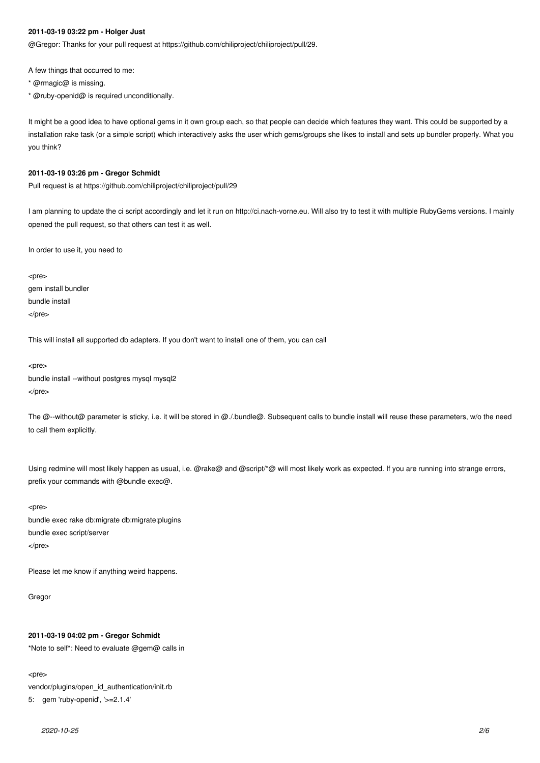#### **2011-03-19 03:22 pm - Holger Just**

@Gregor: Thanks for your pull request at https://github.com/chiliproject/chiliproject/pull/29.

A few things that occurred to me:

- \* @rmagic@ is missing.
- \* @ruby-openid@ is required unconditionally.

It might be a good idea to have optional gems in it own group each, so that people can decide which features they want. This could be supported by a installation rake task (or a simple script) which interactively asks the user which gems/groups she likes to install and sets up bundler properly. What you you think?

#### **2011-03-19 03:26 pm - Gregor Schmidt**

Pull request is at https://github.com/chiliproject/chiliproject/pull/29

I am planning to update the ci script accordingly and let it run on http://ci.nach-vorne.eu. Will also try to test it with multiple RubyGems versions. I mainly opened the pull request, so that others can test it as well.

In order to use it, you need to

<pre> gem install bundler bundle install </pre>

This will install all supported db adapters. If you don't want to install one of them, you can call

<pre> bundle install --without postgres mysql mysql2 </pre>

The @--without@ parameter is sticky, i.e. it will be stored in @./.bundle@. Subsequent calls to bundle install will reuse these parameters, w/o the need to call them explicitly.

Using redmine will most likely happen as usual, i.e. @rake@ and @script/\*@ will most likely work as expected. If you are running into strange errors, prefix your commands with @bundle exec@.

<pre> bundle exec rake db:migrate db:migrate:plugins bundle exec script/server </pre>

Please let me know if anything weird happens.

Gregor

## **2011-03-19 04:02 pm - Gregor Schmidt**

\*Note to self\*: Need to evaluate @gem@ calls in

<pre>

vendor/plugins/open\_id\_authentication/init.rb

5: gem 'ruby-openid', '>=2.1.4'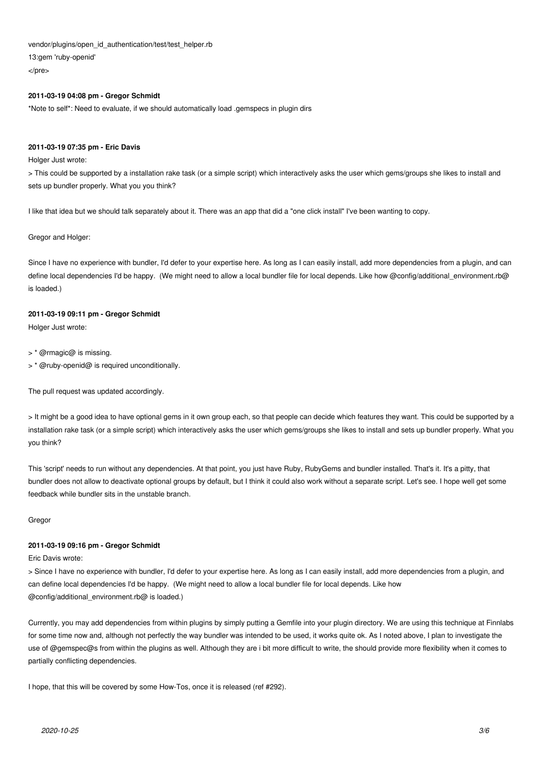vendor/plugins/open\_id\_authentication/test/test\_helper.rb

13:gem 'ruby-openid'

</pre>

# **2011-03-19 04:08 pm - Gregor Schmidt**

\*Note to self\*: Need to evaluate, if we should automatically load .gemspecs in plugin dirs

# **2011-03-19 07:35 pm - Eric Davis**

Holger Just wrote:

> This could be supported by a installation rake task (or a simple script) which interactively asks the user which gems/groups she likes to install and sets up bundler properly. What you you think?

I like that idea but we should talk separately about it. There was an app that did a "one click install" I've been wanting to copy.

# Gregor and Holger:

Since I have no experience with bundler, I'd defer to your expertise here. As long as I can easily install, add more dependencies from a plugin, and can define local dependencies I'd be happy. (We might need to allow a local bundler file for local depends. Like how @config/additional\_environment.rb@ is loaded.)

# **2011-03-19 09:11 pm - Gregor Schmidt**

Holger Just wrote:

> \* @rmagic@ is missing.

> \* @ruby-openid@ is required unconditionally.

The pull request was updated accordingly.

> It might be a good idea to have optional gems in it own group each, so that people can decide which features they want. This could be supported by a installation rake task (or a simple script) which interactively asks the user which gems/groups she likes to install and sets up bundler properly. What you you think?

This 'script' needs to run without any dependencies. At that point, you just have Ruby, RubyGems and bundler installed. That's it. It's a pitty, that bundler does not allow to deactivate optional groups by default, but I think it could also work without a separate script. Let's see. I hope well get some feedback while bundler sits in the unstable branch.

**Gregor** 

# **2011-03-19 09:16 pm - Gregor Schmidt**

Eric Davis wrote:

> Since I have no experience with bundler, I'd defer to your expertise here. As long as I can easily install, add more dependencies from a plugin, and can define local dependencies I'd be happy. (We might need to allow a local bundler file for local depends. Like how @config/additional\_environment.rb@ is loaded.)

Currently, you may add dependencies from within plugins by simply putting a Gemfile into your plugin directory. We are using this technique at Finnlabs for some time now and, although not perfectly the way bundler was intended to be used, it works quite ok. As I noted above, I plan to investigate the use of @gemspec@s from within the plugins as well. Although they are i bit more difficult to write, the should provide more flexibility when it comes to partially conflicting dependencies.

I hope, that this will be covered by some How-Tos, once it is released (ref #292).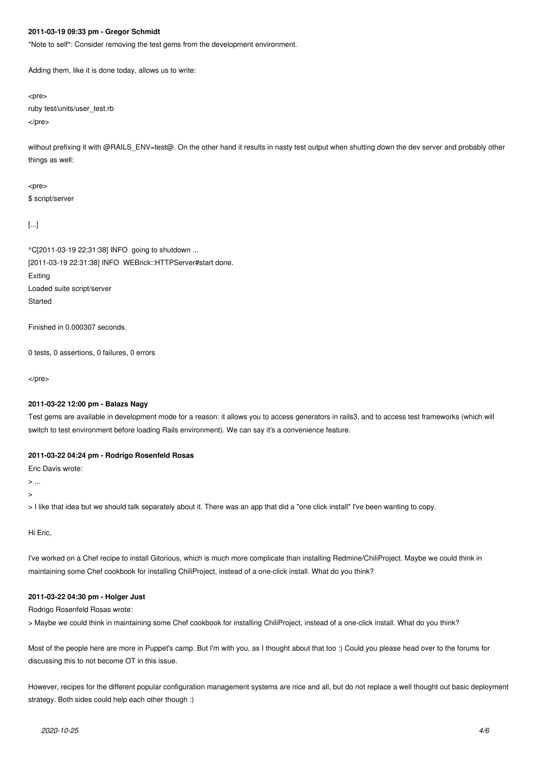#### **2011-03-19 09:33 pm - Gregor Schmidt**

\*Note to self\*: Consider removing the test gems from the development environment.

Adding them, like it is done today, allows us to write:

<pre>

ruby test/units/user\_test.rb </pre>

without prefixing it with @RAILS\_ENV=test@. On the other hand it results in nasty test output when shutting down the dev server and probably other things as well:

<pre>

\$ script/server

[...]

^C[2011-03-19 22:31:38] INFO going to shutdown ... [2011-03-19 22:31:38] INFO WEBrick::HTTPServer#start done. Exiting Loaded suite script/server Started

Finished in 0.000307 seconds.

0 tests, 0 assertions, 0 failures, 0 errors

</pre>

### **2011-03-22 12:00 pm - Balazs Nagy**

Test gems are available in development mode for a reason: it allows you to access generators in rails3, and to access test frameworks (which will switch to test environment before loading Rails environment). We can say it's a convenience feature.

## **2011-03-22 04:24 pm - Rodrigo Rosenfeld Rosas**

Eric Davis wrote:

> ...

>

> I like that idea but we should talk separately about it. There was an app that did a "one click install" I've been wanting to copy.

Hi Eric,

I've worked on a Chef recipe to install Gitorious, which is much more complicate than installing Redmine/ChiliProject. Maybe we could think in maintaining some Chef cookbook for installing ChiliProject, instead of a one-click install. What do you think?

#### **2011-03-22 04:30 pm - Holger Just**

Rodrigo Rosenfeld Rosas wrote:

> Maybe we could think in maintaining some Chef cookbook for installing ChiliProject, instead of a one-click install. What do you think?

Most of the people here are more in Puppet's camp. But I'm with you, as I thought about that too :) Could you please head over to the forums for discussing this to not become OT in this issue.

However, recipes for the different popular configuration management systems are nice and all, but do not replace a well thought out basic deployment strategy. Both sides could help each other though :)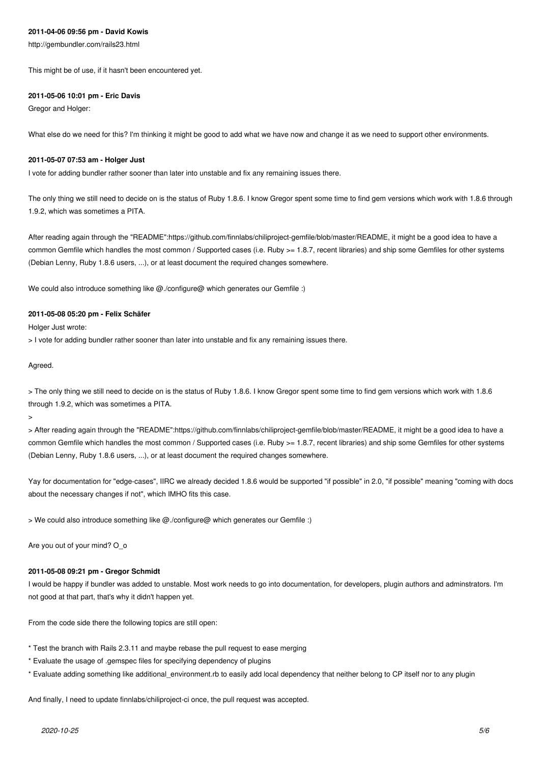#### **2011-04-06 09:56 pm - David Kowis**

http://gembundler.com/rails23.html

This might be of use, if it hasn't been encountered yet.

#### **2011-05-06 10:01 pm - Eric Davis**

Gregor and Holger:

What else do we need for this? I'm thinking it might be good to add what we have now and change it as we need to support other environments.

#### **2011-05-07 07:53 am - Holger Just**

I vote for adding bundler rather sooner than later into unstable and fix any remaining issues there.

The only thing we still need to decide on is the status of Ruby 1.8.6. I know Gregor spent some time to find gem versions which work with 1.8.6 through 1.9.2, which was sometimes a PITA.

After reading again through the "README":https://github.com/finnlabs/chiliproject-gemfile/blob/master/README, it might be a good idea to have a common Gemfile which handles the most common / Supported cases (i.e. Ruby >= 1.8.7, recent libraries) and ship some Gemfiles for other systems (Debian Lenny, Ruby 1.8.6 users, ...), or at least document the required changes somewhere.

We could also introduce something like @./configure@ which generates our Gemfile :)

#### **2011-05-08 05:20 pm - Felix Schäfer**

Holger Just wrote:

> I vote for adding bundler rather sooner than later into unstable and fix any remaining issues there.

Agreed.

> The only thing we still need to decide on is the status of Ruby 1.8.6. I know Gregor spent some time to find gem versions which work with 1.8.6 through 1.9.2, which was sometimes a PITA.

>

> After reading again through the "README":https://github.com/finnlabs/chiliproject-gemfile/blob/master/README, it might be a good idea to have a common Gemfile which handles the most common / Supported cases (i.e. Ruby >= 1.8.7, recent libraries) and ship some Gemfiles for other systems (Debian Lenny, Ruby 1.8.6 users, ...), or at least document the required changes somewhere.

Yay for documentation for "edge-cases", IIRC we already decided 1.8.6 would be supported "if possible" in 2.0, "if possible" meaning "coming with docs about the necessary changes if not", which IMHO fits this case.

> We could also introduce something like @./configure@ which generates our Gemfile :)

Are you out of your mind? O\_o

# **2011-05-08 09:21 pm - Gregor Schmidt**

I would be happy if bundler was added to unstable. Most work needs to go into documentation, for developers, plugin authors and adminstrators. I'm not good at that part, that's why it didn't happen yet.

From the code side there the following topics are still open:

- \* Test the branch with Rails 2.3.11 and maybe rebase the pull request to ease merging
- \* Evaluate the usage of .gemspec files for specifying dependency of plugins
- \* Evaluate adding something like additional environment.rb to easily add local dependency that neither belong to CP itself nor to any plugin

And finally, I need to update finnlabs/chiliproject-ci once, the pull request was accepted.